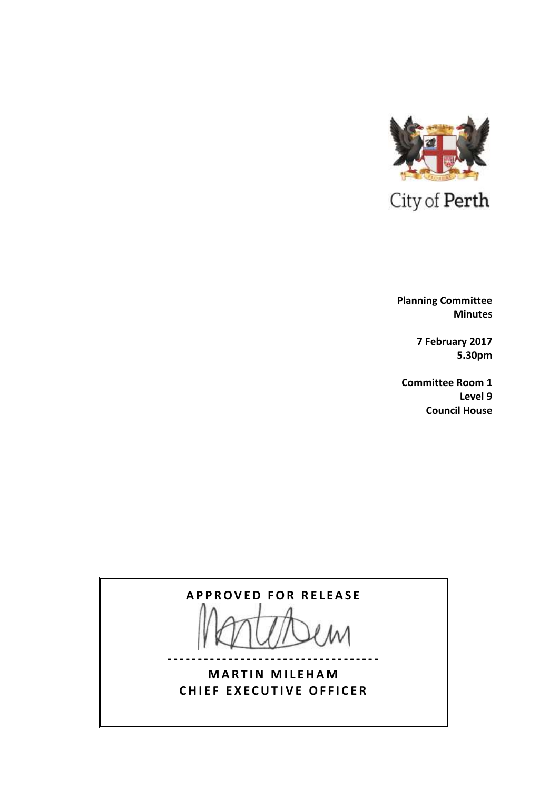

 **Planning Committee Minutes**

> **7 February 2017 5.30pm**

**Committee Room 1 Level 9 Council House**



**-----------------------------------**

**MARTIN MILEHAM CHIEF EXECUTIVE OFFICER**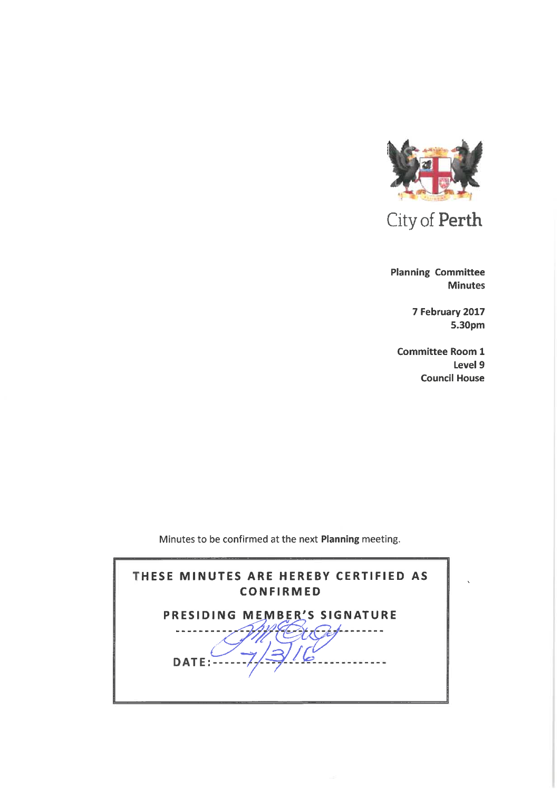

**Planning Committee Minutes** 

> 7 February 2017 5.30pm

**Committee Room 1** Level 9 **Council House** 

Minutes to be confirmed at the next Planning meeting.

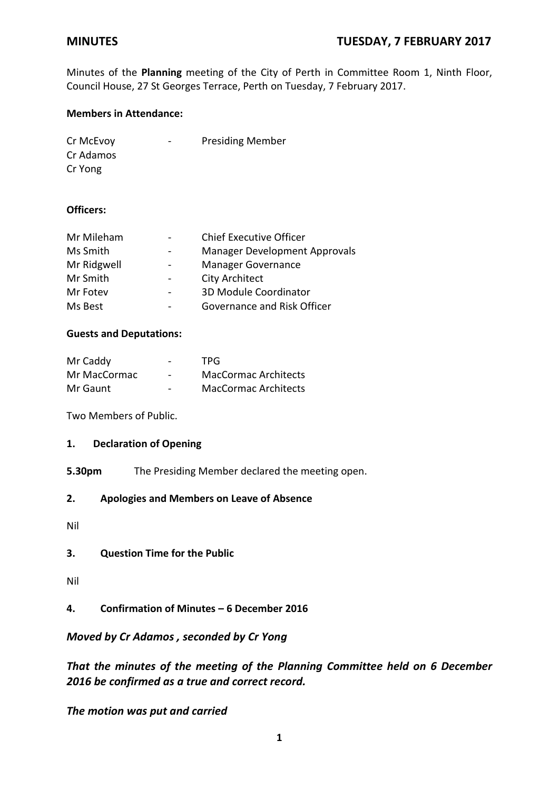Minutes of the **Planning** meeting of the City of Perth in Committee Room 1, Ninth Floor, Council House, 27 St Georges Terrace, Perth on Tuesday, 7 February 2017.

## **Members in Attendance:**

| Cr McEvoy | $\qquad \qquad \blacksquare$ | <b>Presiding Member</b> |
|-----------|------------------------------|-------------------------|
| Cr Adamos |                              |                         |
| Cr Yong   |                              |                         |

## **Officers:**

| Mr Mileham  |                          | <b>Chief Executive Officer</b>       |
|-------------|--------------------------|--------------------------------------|
| Ms Smith    |                          | <b>Manager Development Approvals</b> |
| Mr Ridgwell |                          | <b>Manager Governance</b>            |
| Mr Smith    | $\overline{\phantom{a}}$ | <b>City Architect</b>                |
| Mr Fotev    | $\overline{\phantom{0}}$ | 3D Module Coordinator                |
| Ms Best     |                          | Governance and Risk Officer          |
|             |                          |                                      |

# **Guests and Deputations:**

| Mr Caddy     | $\overline{\phantom{0}}$ | TPG.                        |
|--------------|--------------------------|-----------------------------|
| Mr MacCormac | $\overline{\phantom{0}}$ | <b>MacCormac Architects</b> |
| Mr Gaunt     | -                        | <b>MacCormac Architects</b> |

Two Members of Public.

### **1. Declaration of Opening**

**5.30pm** The Presiding Member declared the meeting open.

### **2. Apologies and Members on Leave of Absence**

Nil

### **3. Question Time for the Public**

- Nil
- **4. Confirmation of Minutes – 6 December 2016**

## *Moved by Cr Adamos , seconded by Cr Yong*

*That the minutes of the meeting of the Planning Committee held on 6 December 2016 be confirmed as a true and correct record.*

*The motion was put and carried*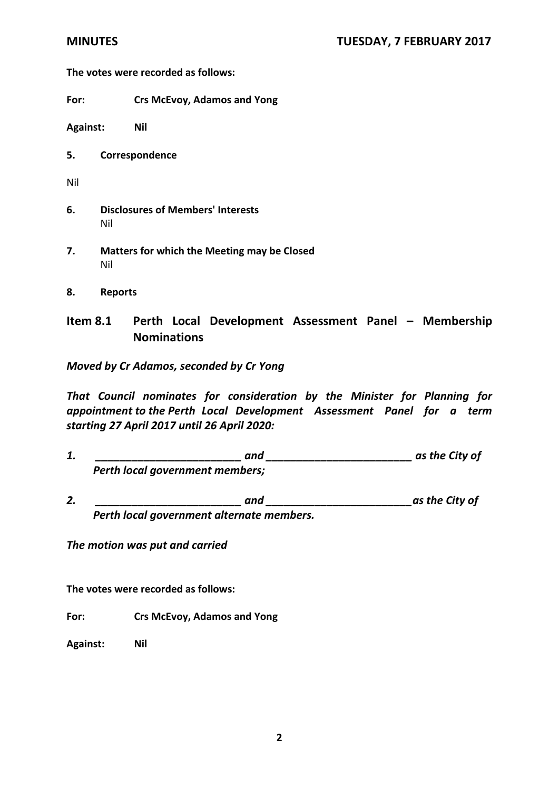**The votes were recorded as follows:**

**For: Crs McEvoy, Adamos and Yong**

**Against: Nil**

**5. Correspondence**

Nil

- **6. Disclosures of Members' Interests** Nil
- **7. Matters for which the Meeting may be Closed** Nil
- **8. Reports**

# **Item 8.1 Perth Local Development Assessment Panel – Membership Nominations**

*Moved by Cr Adamos, seconded by Cr Yong*

*That Council nominates for consideration by the Minister for Planning for appointment to the Perth Local Development Assessment Panel for a term starting 27 April 2017 until 26 April 2020:*

- *1. \_\_\_\_\_\_\_\_\_\_\_\_\_\_\_\_\_\_\_\_\_\_\_\_ and \_\_\_\_\_\_\_\_\_\_\_\_\_\_\_\_\_\_\_\_\_\_\_\_ as the City of Perth local government members;*
- 2. *and and* **<b>as the City of** *as the City of Perth local government alternate members.*

*The motion was put and carried*

**The votes were recorded as follows:**

**For: Crs McEvoy, Adamos and Yong**

**Against: Nil**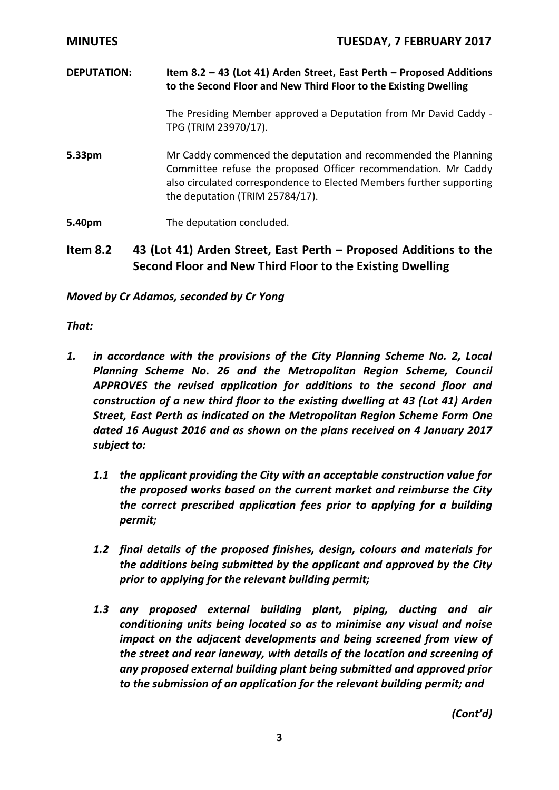| <b>MINUTES</b>     | <b>TUESDAY, 7 FEBRUARY 2017</b>                                                                                                                                                                                                             |
|--------------------|---------------------------------------------------------------------------------------------------------------------------------------------------------------------------------------------------------------------------------------------|
| <b>DEPUTATION:</b> | Item 8.2 - 43 (Lot 41) Arden Street, East Perth - Proposed Additions<br>to the Second Floor and New Third Floor to the Existing Dwelling                                                                                                    |
|                    | The Presiding Member approved a Deputation from Mr David Caddy -<br>TPG (TRIM 23970/17).                                                                                                                                                    |
| 5.33pm             | Mr Caddy commenced the deputation and recommended the Planning<br>Committee refuse the proposed Officer recommendation. Mr Caddy<br>also circulated correspondence to Elected Members further supporting<br>the deputation (TRIM 25784/17). |
| 5.40pm             | The deputation concluded.                                                                                                                                                                                                                   |

# **Item 8.2 43 (Lot 41) Arden Street, East Perth – Proposed Additions to the Second Floor and New Third Floor to the Existing Dwelling**

*Moved by Cr Adamos, seconded by Cr Yong*

*That:*

- *1. in accordance with the provisions of the City Planning Scheme No. 2, Local Planning Scheme No. 26 and the Metropolitan Region Scheme, Council APPROVES the revised application for additions to the second floor and construction of a new third floor to the existing dwelling at 43 (Lot 41) Arden Street, East Perth as indicated on the Metropolitan Region Scheme Form One dated 16 August 2016 and as shown on the plans received on 4 January 2017 subject to:*
	- *1.1 the applicant providing the City with an acceptable construction value for the proposed works based on the current market and reimburse the City the correct prescribed application fees prior to applying for a building permit;*
	- *1.2 final details of the proposed finishes, design, colours and materials for the additions being submitted by the applicant and approved by the City prior to applying for the relevant building permit;*
	- *1.3 any proposed external building plant, piping, ducting and air conditioning units being located so as to minimise any visual and noise impact on the adjacent developments and being screened from view of the street and rear laneway, with details of the location and screening of any proposed external building plant being submitted and approved prior to the submission of an application for the relevant building permit; and*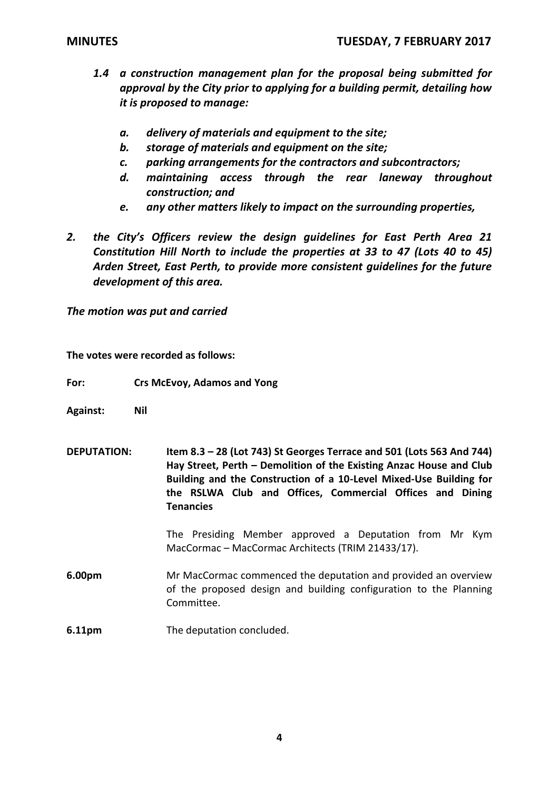- *1.4 a construction management plan for the proposal being submitted for approval by the City prior to applying for a building permit, detailing how it is proposed to manage:*
	- *a. delivery of materials and equipment to the site;*
	- *b. storage of materials and equipment on the site;*
	- *c. parking arrangements for the contractors and subcontractors;*
	- *d. maintaining access through the rear laneway throughout construction; and*
	- *e. any other matters likely to impact on the surrounding properties,*
- *2. the City's Officers review the design guidelines for East Perth Area 21 Constitution Hill North to include the properties at 33 to 47 (Lots 40 to 45) Arden Street, East Perth, to provide more consistent guidelines for the future development of this area.*

**The votes were recorded as follows:**

**For: Crs McEvoy, Adamos and Yong**

- **Against: Nil**
- **DEPUTATION: Item 8.3 – 28 (Lot 743) St Georges Terrace and 501 (Lots 563 And 744) Hay Street, Perth – Demolition of the Existing Anzac House and Club Building and the Construction of a 10-Level Mixed-Use Building for the RSLWA Club and Offices, Commercial Offices and Dining Tenancies**

The Presiding Member approved a Deputation from Mr Kym MacCormac – MacCormac Architects (TRIM 21433/17).

**6.00pm** Mr MacCormac commenced the deputation and provided an overview of the proposed design and building configuration to the Planning Committee.

**6.11pm** The deputation concluded.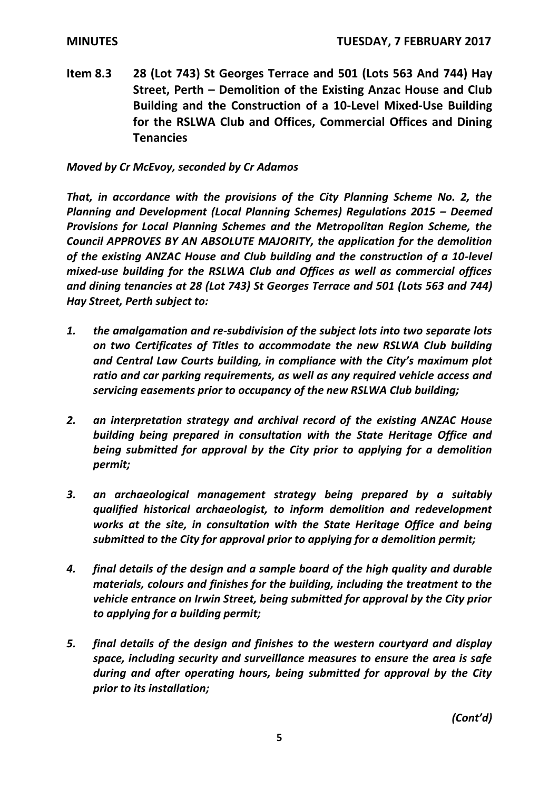**Item 8.3 28 (Lot 743) St Georges Terrace and 501 (Lots 563 And 744) Hay Street, Perth – Demolition of the Existing Anzac House and Club Building and the Construction of a 10-Level Mixed-Use Building for the RSLWA Club and Offices, Commercial Offices and Dining Tenancies**

*Moved by Cr McEvoy, seconded by Cr Adamos*

*That, in accordance with the provisions of the City Planning Scheme No. 2, the Planning and Development (Local Planning Schemes) Regulations 2015 – Deemed Provisions for Local Planning Schemes and the Metropolitan Region Scheme, the Council APPROVES BY AN ABSOLUTE MAJORITY, the application for the demolition of the existing ANZAC House and Club building and the construction of a 10-level mixed-use building for the RSLWA Club and Offices as well as commercial offices and dining tenancies at 28 (Lot 743) St Georges Terrace and 501 (Lots 563 and 744) Hay Street, Perth subject to:*

- *1. the amalgamation and re-subdivision of the subject lots into two separate lots on two Certificates of Titles to accommodate the new RSLWA Club building and Central Law Courts building, in compliance with the City's maximum plot ratio and car parking requirements, as well as any required vehicle access and servicing easements prior to occupancy of the new RSLWA Club building;*
- *2. an interpretation strategy and archival record of the existing ANZAC House building being prepared in consultation with the State Heritage Office and being submitted for approval by the City prior to applying for a demolition permit;*
- *3. an archaeological management strategy being prepared by a suitably qualified historical archaeologist, to inform demolition and redevelopment works at the site, in consultation with the State Heritage Office and being submitted to the City for approval prior to applying for a demolition permit;*
- *4. final details of the design and a sample board of the high quality and durable materials, colours and finishes for the building, including the treatment to the vehicle entrance on Irwin Street, being submitted for approval by the City prior to applying for a building permit;*
- *5. final details of the design and finishes to the western courtyard and display space, including security and surveillance measures to ensure the area is safe during and after operating hours, being submitted for approval by the City prior to its installation;*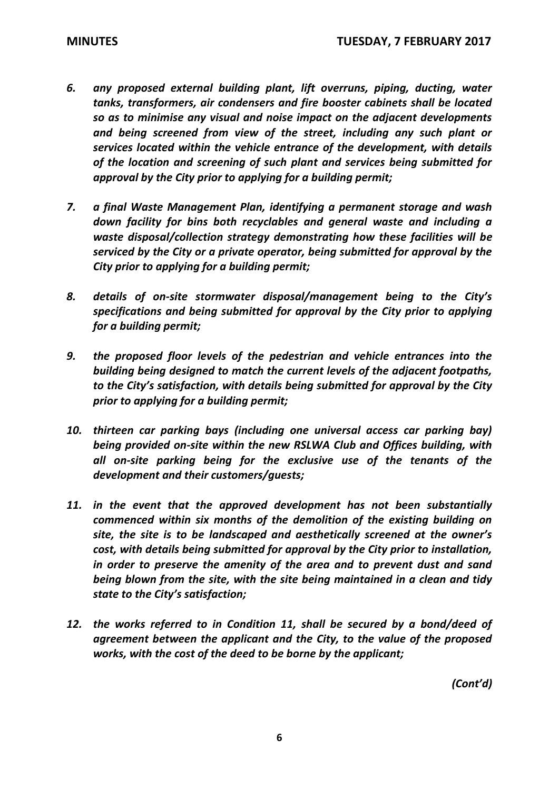- *6. any proposed external building plant, lift overruns, piping, ducting, water tanks, transformers, air condensers and fire booster cabinets shall be located so as to minimise any visual and noise impact on the adjacent developments and being screened from view of the street, including any such plant or services located within the vehicle entrance of the development, with details of the location and screening of such plant and services being submitted for approval by the City prior to applying for a building permit;*
- *7. a final Waste Management Plan, identifying a permanent storage and wash down facility for bins both recyclables and general waste and including a waste disposal/collection strategy demonstrating how these facilities will be serviced by the City or a private operator, being submitted for approval by the City prior to applying for a building permit;*
- *8. details of on-site stormwater disposal/management being to the City's specifications and being submitted for approval by the City prior to applying for a building permit;*
- *9. the proposed floor levels of the pedestrian and vehicle entrances into the building being designed to match the current levels of the adjacent footpaths, to the City's satisfaction, with details being submitted for approval by the City prior to applying for a building permit;*
- 10. thirteen car parking bays (including one universal access car parking bay) *being provided on-site within the new RSLWA Club and Offices building, with all on-site parking being for the exclusive use of the tenants of the development and their customers/guests;*
- *11. in the event that the approved development has not been substantially commenced within six months of the demolition of the existing building on site, the site is to be landscaped and aesthetically screened at the owner's cost, with details being submitted for approval by the City prior to installation, in order to preserve the amenity of the area and to prevent dust and sand being blown from the site, with the site being maintained in a clean and tidy state to the City's satisfaction;*
- *12. the works referred to in Condition 11, shall be secured by a bond/deed of agreement between the applicant and the City, to the value of the proposed works, with the cost of the deed to be borne by the applicant;*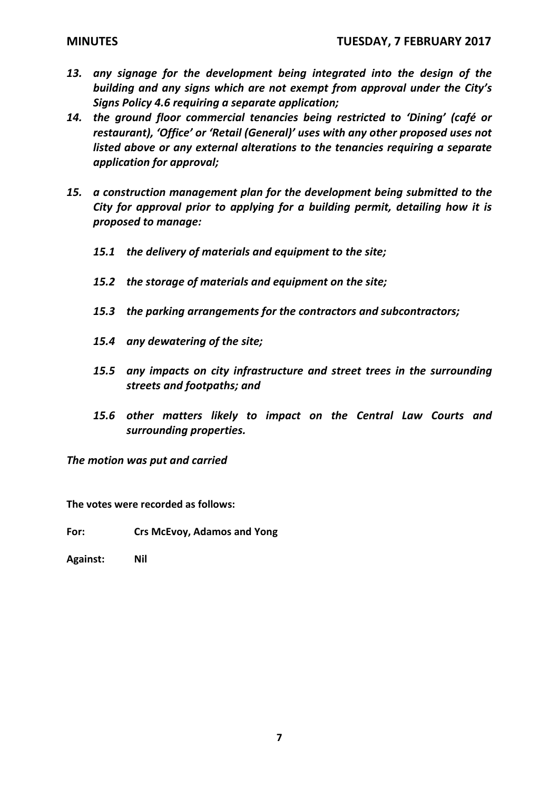- *13. any signage for the development being integrated into the design of the building and any signs which are not exempt from approval under the City's Signs Policy 4.6 requiring a separate application;*
- *14. the ground floor commercial tenancies being restricted to 'Dining' (café or restaurant), 'Office' or 'Retail (General)' uses with any other proposed uses not listed above or any external alterations to the tenancies requiring a separate application for approval;*
- *15. a construction management plan for the development being submitted to the City for approval prior to applying for a building permit, detailing how it is proposed to manage:* 
	- *15.1 the delivery of materials and equipment to the site;*
	- *15.2 the storage of materials and equipment on the site;*
	- *15.3 the parking arrangements for the contractors and subcontractors;*
	- *15.4 any dewatering of the site;*
	- *15.5 any impacts on city infrastructure and street trees in the surrounding streets and footpaths; and*
	- *15.6 other matters likely to impact on the Central Law Courts and surrounding properties.*

**The votes were recorded as follows:**

**For: Crs McEvoy, Adamos and Yong**

**Against: Nil**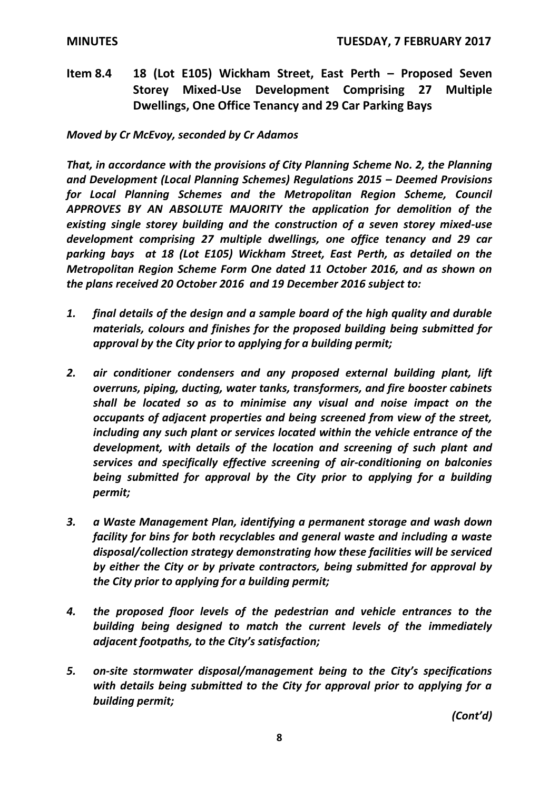**Item 8.4 18 (Lot E105) Wickham Street, East Perth – Proposed Seven Storey Mixed-Use Development Comprising 27 Multiple Dwellings, One Office Tenancy and 29 Car Parking Bays**

*Moved by Cr McEvoy, seconded by Cr Adamos*

*That, in accordance with the provisions of City Planning Scheme No. 2, the Planning and Development (Local Planning Schemes) Regulations 2015 – Deemed Provisions for Local Planning Schemes and the Metropolitan Region Scheme, Council APPROVES BY AN ABSOLUTE MAJORITY the application for demolition of the existing single storey building and the construction of a seven storey mixed-use development comprising 27 multiple dwellings, one office tenancy and 29 car parking bays at 18 (Lot E105) Wickham Street, East Perth, as detailed on the Metropolitan Region Scheme Form One dated 11 October 2016, and as shown on the plans received 20 October 2016 and 19 December 2016 subject to:*

- *1. final details of the design and a sample board of the high quality and durable materials, colours and finishes for the proposed building being submitted for approval by the City prior to applying for a building permit;*
- *2. air conditioner condensers and any proposed external building plant, lift overruns, piping, ducting, water tanks, transformers, and fire booster cabinets shall be located so as to minimise any visual and noise impact on the occupants of adjacent properties and being screened from view of the street, including any such plant or services located within the vehicle entrance of the development, with details of the location and screening of such plant and services and specifically effective screening of air-conditioning on balconies being submitted for approval by the City prior to applying for a building permit;*
- *3. a Waste Management Plan, identifying a permanent storage and wash down facility for bins for both recyclables and general waste and including a waste disposal/collection strategy demonstrating how these facilities will be serviced by either the City or by private contractors, being submitted for approval by the City prior to applying for a building permit;*
- *4. the proposed floor levels of the pedestrian and vehicle entrances to the building being designed to match the current levels of the immediately adjacent footpaths, to the City's satisfaction;*
- *5. on-site stormwater disposal/management being to the City's specifications with details being submitted to the City for approval prior to applying for a building permit;*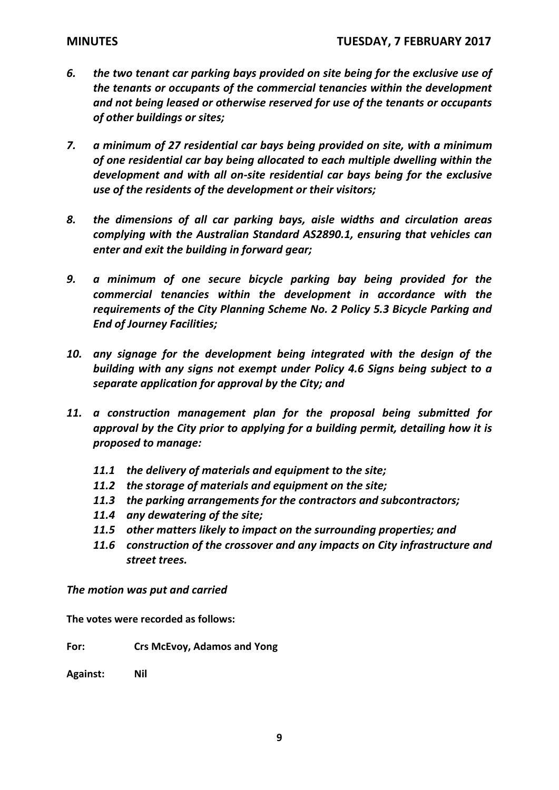- *6. the two tenant car parking bays provided on site being for the exclusive use of the tenants or occupants of the commercial tenancies within the development and not being leased or otherwise reserved for use of the tenants or occupants of other buildings or sites;*
- *7. a minimum of 27 residential car bays being provided on site, with a minimum of one residential car bay being allocated to each multiple dwelling within the development and with all on-site residential car bays being for the exclusive use of the residents of the development or their visitors;*
- *8. the dimensions of all car parking bays, aisle widths and circulation areas complying with the Australian Standard AS2890.1, ensuring that vehicles can enter and exit the building in forward gear;*
- *9. a minimum of one secure bicycle parking bay being provided for the commercial tenancies within the development in accordance with the requirements of the City Planning Scheme No. 2 Policy 5.3 Bicycle Parking and End of Journey Facilities;*
- *10. any signage for the development being integrated with the design of the building with any signs not exempt under Policy 4.6 Signs being subject to a separate application for approval by the City; and*
- *11. a construction management plan for the proposal being submitted for approval by the City prior to applying for a building permit, detailing how it is proposed to manage:*
	- *11.1 the delivery of materials and equipment to the site;*
	- *11.2 the storage of materials and equipment on the site;*
	- *11.3 the parking arrangements for the contractors and subcontractors;*
	- *11.4 any dewatering of the site;*
	- *11.5 other matters likely to impact on the surrounding properties; and*
	- *11.6 construction of the crossover and any impacts on City infrastructure and street trees.*

**The votes were recorded as follows:**

**For: Crs McEvoy, Adamos and Yong**

**Against: Nil**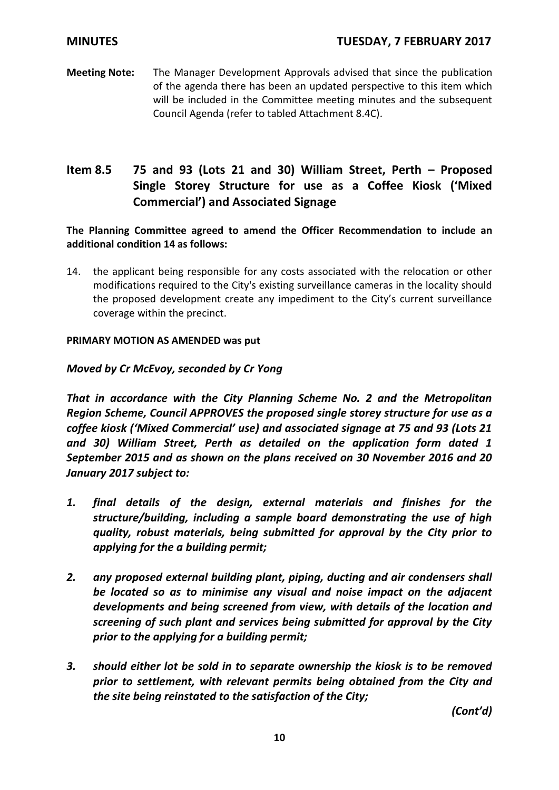**Meeting Note:** The Manager Development Approvals advised that since the publication of the agenda there has been an updated perspective to this item which will be included in the Committee meeting minutes and the subsequent Council Agenda (refer to tabled Attachment 8.4C).

# **Item 8.5 75 and 93 (Lots 21 and 30) William Street, Perth – Proposed Single Storey Structure for use as a Coffee Kiosk ('Mixed Commercial') and Associated Signage**

**The Planning Committee agreed to amend the Officer Recommendation to include an additional condition 14 as follows:**

14. the applicant being responsible for any costs associated with the relocation or other modifications required to the City's existing surveillance cameras in the locality should the proposed development create any impediment to the City's current surveillance coverage within the precinct.

## **PRIMARY MOTION AS AMENDED was put**

# *Moved by Cr McEvoy, seconded by Cr Yong*

*That in accordance with the City Planning Scheme No. 2 and the Metropolitan Region Scheme, Council APPROVES the proposed single storey structure for use as a coffee kiosk ('Mixed Commercial' use) and associated signage at 75 and 93 (Lots 21 and 30) William Street, Perth as detailed on the application form dated 1 September 2015 and as shown on the plans received on 30 November 2016 and 20 January 2017 subject to:*

- *1. final details of the design, external materials and finishes for the structure/building, including a sample board demonstrating the use of high quality, robust materials, being submitted for approval by the City prior to applying for the a building permit;*
- *2. any proposed external building plant, piping, ducting and air condensers shall be located so as to minimise any visual and noise impact on the adjacent developments and being screened from view, with details of the location and screening of such plant and services being submitted for approval by the City prior to the applying for a building permit;*
- *3. should either lot be sold in to separate ownership the kiosk is to be removed prior to settlement, with relevant permits being obtained from the City and the site being reinstated to the satisfaction of the City;*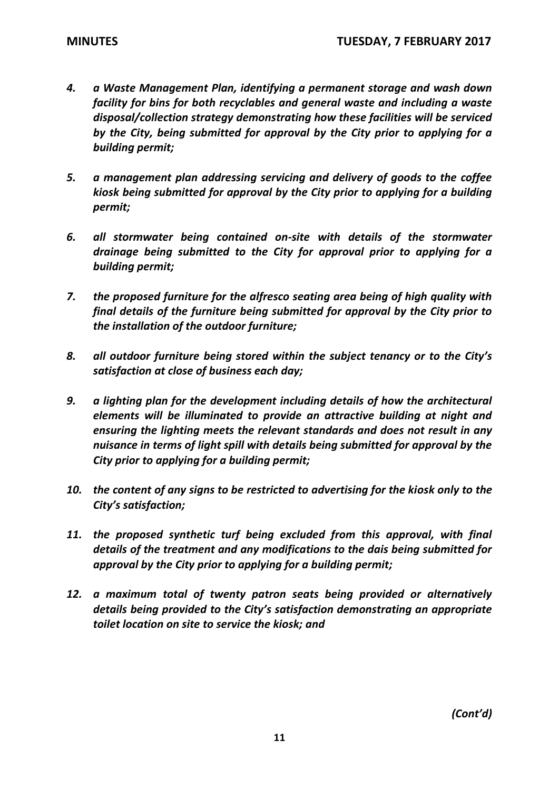- *4. a Waste Management Plan, identifying a permanent storage and wash down facility for bins for both recyclables and general waste and including a waste disposal/collection strategy demonstrating how these facilities will be serviced by the City, being submitted for approval by the City prior to applying for a building permit;*
- *5. a management plan addressing servicing and delivery of goods to the coffee kiosk being submitted for approval by the City prior to applying for a building permit;*
- *6. all stormwater being contained on-site with details of the stormwater drainage being submitted to the City for approval prior to applying for a building permit;*
- *7. the proposed furniture for the alfresco seating area being of high quality with final details of the furniture being submitted for approval by the City prior to the installation of the outdoor furniture;*
- *8. all outdoor furniture being stored within the subject tenancy or to the City's satisfaction at close of business each day;*
- *9. a lighting plan for the development including details of how the architectural elements will be illuminated to provide an attractive building at night and ensuring the lighting meets the relevant standards and does not result in any nuisance in terms of light spill with details being submitted for approval by the City prior to applying for a building permit;*
- *10. the content of any signs to be restricted to advertising for the kiosk only to the City's satisfaction;*
- 11. the proposed synthetic turf being excluded from this approval, with final *details of the treatment and any modifications to the dais being submitted for approval by the City prior to applying for a building permit;*
- *12. a maximum total of twenty patron seats being provided or alternatively details being provided to the City's satisfaction demonstrating an appropriate toilet location on site to service the kiosk; and*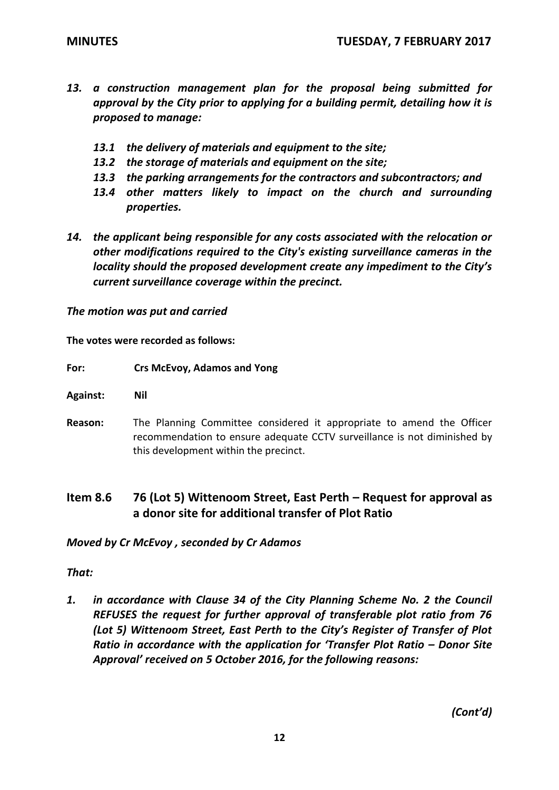- *13. a construction management plan for the proposal being submitted for approval by the City prior to applying for a building permit, detailing how it is proposed to manage:*
	- *13.1 the delivery of materials and equipment to the site;*
	- *13.2 the storage of materials and equipment on the site;*
	- *13.3 the parking arrangements for the contractors and subcontractors; and*
	- *13.4 other matters likely to impact on the church and surrounding properties.*
- *14. the applicant being responsible for any costs associated with the relocation or other modifications required to the City's existing surveillance cameras in the locality should the proposed development create any impediment to the City's current surveillance coverage within the precinct.*

**The votes were recorded as follows:**

## **For: Crs McEvoy, Adamos and Yong**

**Against: Nil**

- **Reason:** The Planning Committee considered it appropriate to amend the Officer recommendation to ensure adequate CCTV surveillance is not diminished by this development within the precinct.
- **Item 8.6 76 (Lot 5) Wittenoom Street, East Perth – Request for approval as a donor site for additional transfer of Plot Ratio**

*Moved by Cr McEvoy , seconded by Cr Adamos*

## *That:*

*1. in accordance with Clause 34 of the City Planning Scheme No. 2 the Council REFUSES the request for further approval of transferable plot ratio from 76 (Lot 5) Wittenoom Street, East Perth to the City's Register of Transfer of Plot Ratio in accordance with the application for 'Transfer Plot Ratio – Donor Site Approval' received on 5 October 2016, for the following reasons:*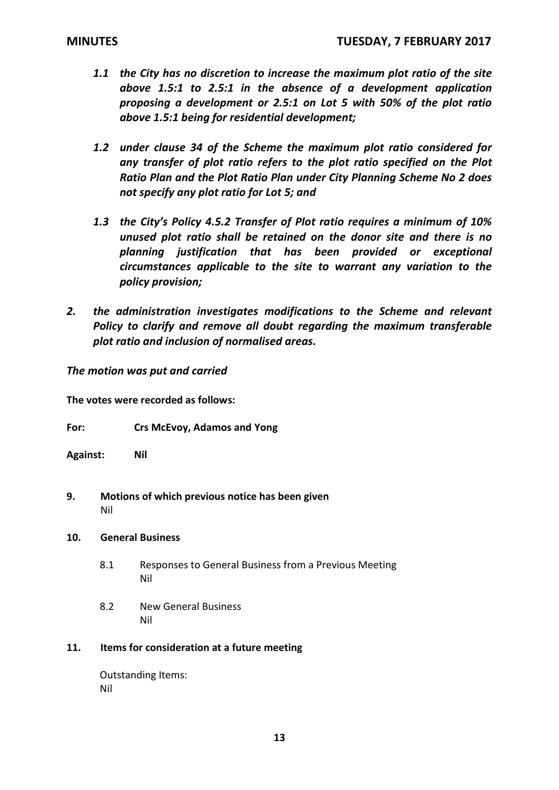- *1.1 the City has no discretion to increase the maximum plot ratio of the site above 1.5:1 to 2.5:1 in the absence of a development application proposing a development or 2.5:1 on Lot 5 with 50% of the plot ratio above 1.5:1 being for residential development;*
- *1.2 under clause 34 of the Scheme the maximum plot ratio considered for any transfer of plot ratio refers to the plot ratio specified on the Plot Ratio Plan and the Plot Ratio Plan under City Planning Scheme No 2 does not specify any plot ratio for Lot 5; and*
- *1.3 the City's Policy 4.5.2 Transfer of Plot ratio requires a minimum of 10% unused plot ratio shall be retained on the donor site and there is no planning justification that has been provided or exceptional circumstances applicable to the site to warrant any variation to the policy provision;*
- *2. the administration investigates modifications to the Scheme and relevant Policy to clarify and remove all doubt regarding the maximum transferable plot ratio and inclusion of normalised areas.*

**The votes were recorded as follows:**

- **For: Crs McEvoy, Adamos and Yong**
- **Against: Nil**
- **9. Motions of which previous notice has been given** Nil

## **10. General Business**

- 8.1 Responses to General Business from a Previous Meeting Nil
- 8.2 New General Business Nil

## **11. Items for consideration at a future meeting**

Outstanding Items: Nil